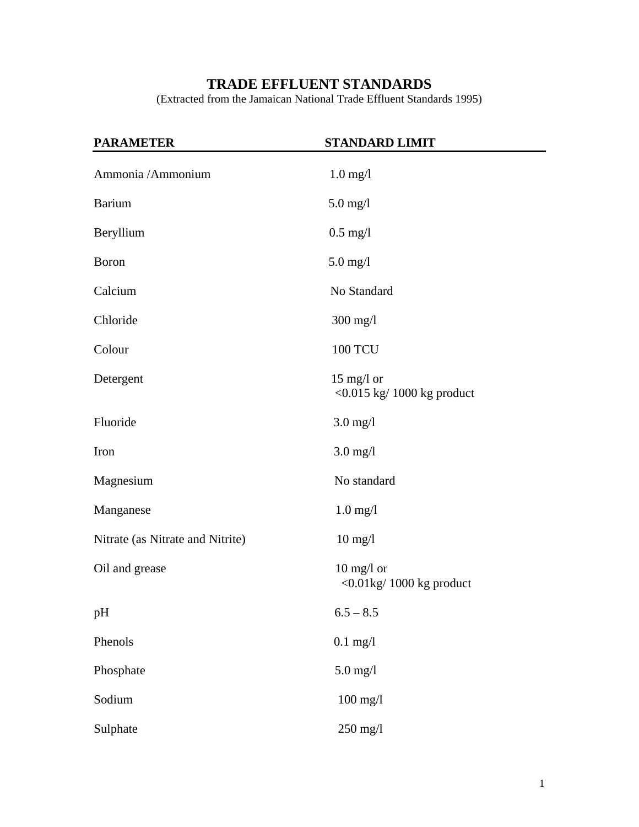# **TRADE EFFLUENT STANDARDS**

(Extracted from the Jamaican National Trade Effluent Standards 1995)

| <b>PARAMETER</b>                 | <b>STANDARD LIMIT</b>                                             |
|----------------------------------|-------------------------------------------------------------------|
| Ammonia / Ammonium               | $1.0$ mg/l                                                        |
| <b>Barium</b>                    | $5.0$ mg/l                                                        |
| Beryllium                        | $0.5$ mg/l                                                        |
| <b>Boron</b>                     | $5.0$ mg/l                                                        |
| Calcium                          | No Standard                                                       |
| Chloride                         | 300 mg/l                                                          |
| Colour                           | <b>100 TCU</b>                                                    |
| Detergent                        | $15 \text{ mg/l or}$<br>$<$ 0.015 kg/ 1000 kg product             |
| Fluoride                         | $3.0$ mg/l                                                        |
| Iron                             | $3.0$ mg/l                                                        |
| Magnesium                        | No standard                                                       |
| Manganese                        | $1.0$ mg/l                                                        |
| Nitrate (as Nitrate and Nitrite) | $10 \text{ mg}/l$                                                 |
| Oil and grease                   | $10$ mg/l or<br>$\langle 0.01 \text{kg} / 1000 \text{kg}$ product |
| pH                               | $6.5 - 8.5$                                                       |
| Phenols                          | $0.1$ mg/l                                                        |
| Phosphate                        | $5.0$ mg/l                                                        |
| Sodium                           | $100$ mg/l                                                        |
| Sulphate                         | 250 mg/l                                                          |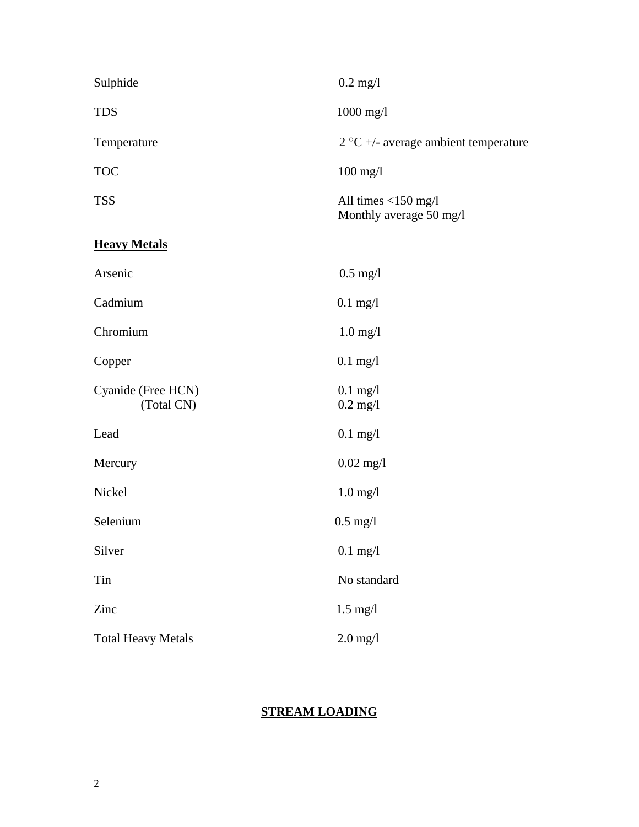| Sulphide                         | $0.2$ mg/l                                        |
|----------------------------------|---------------------------------------------------|
| <b>TDS</b>                       | 1000 mg/l                                         |
| Temperature                      | $2 °C +$ average ambient temperature              |
| <b>TOC</b>                       | $100$ mg/l                                        |
| <b>TSS</b>                       | All times $<$ 150 mg/l<br>Monthly average 50 mg/l |
| <b>Heavy Metals</b>              |                                                   |
| Arsenic                          | $0.5$ mg/l                                        |
| Cadmium                          | $0.1$ mg/l                                        |
| Chromium                         | $1.0$ mg/l                                        |
| Copper                           | $0.1$ mg/l                                        |
| Cyanide (Free HCN)<br>(Total CN) | $0.1$ mg/l<br>$0.2$ mg/l                          |
| Lead                             | $0.1$ mg/l                                        |
| Mercury                          | $0.02$ mg/l                                       |
| Nickel                           | $1.0$ mg/l                                        |
| Selenium                         | $0.5$ mg/l                                        |
| Silver                           | $0.1$ mg/l                                        |
| Tin                              | No standard                                       |
| Zinc                             | $1.5$ mg/l                                        |
| <b>Total Heavy Metals</b>        | $2.0$ mg/l                                        |

## **STREAM LOADING**